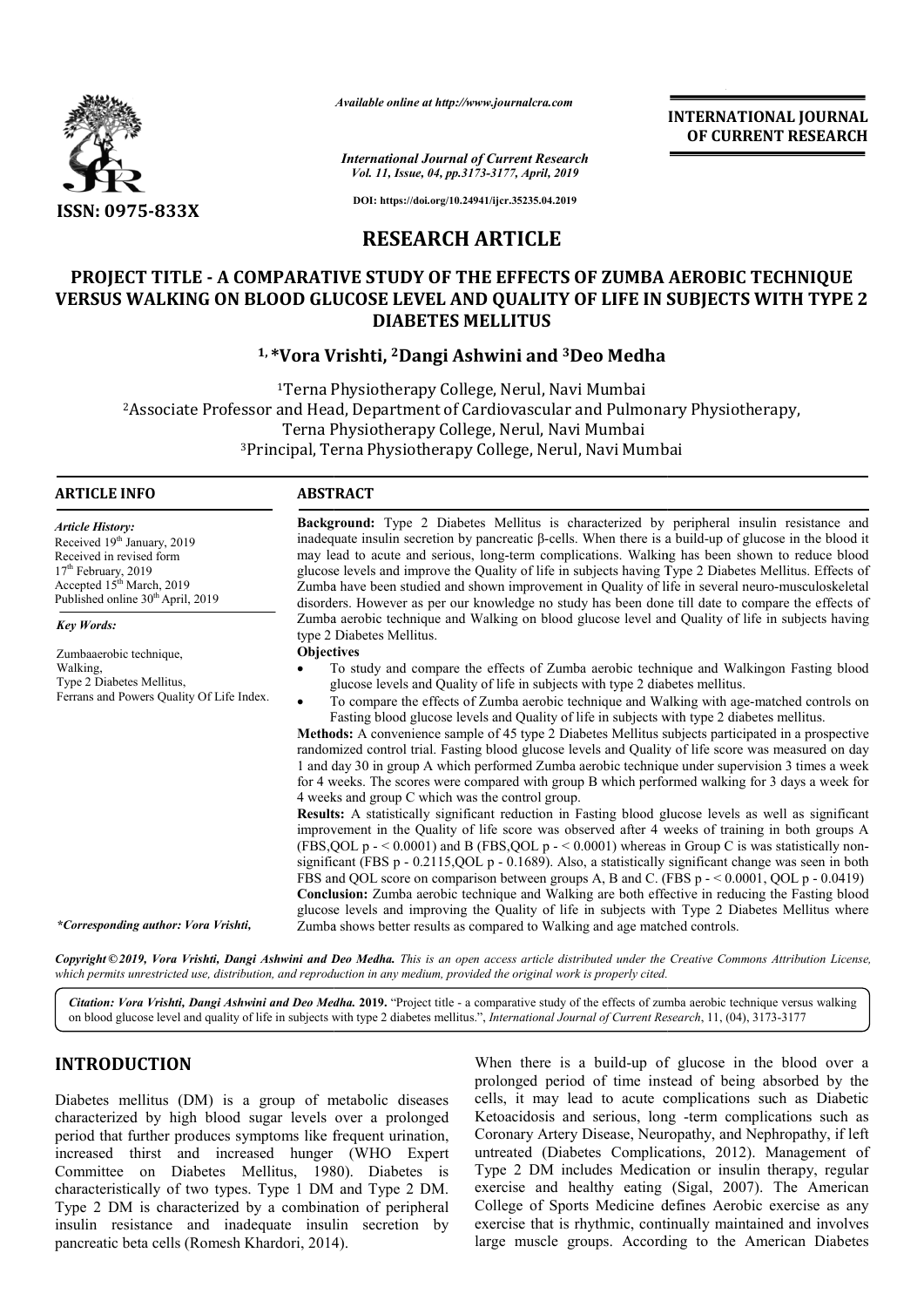

*Available online at http://www.journalcra.com*

*International Journal of Current Research Vol. 11, Issue, 04, pp.3173-3177, April, 2019*

**INTERNATIONAL JOURNAL OF CURRENT RESEARCH**

**DOI: https://doi.org/10.24941/ijcr.35235.04.2019**

# **RESEARCH ARTICLE**

# **PROJECT TITLE - A COMPARATIVE STUDY OF THE EFFECTS OF ZUMBA AEROBIC TECHNIQU MBA AEROBIC TECHNIQUE VERSUS WALKING ON BLOOD GLUCOSE LEVEL AN OOD AND QUALITY OF LIFE IN SUBJECT SUBJECTS WITH TYPE 2 DIABETES MELLITUS**

# **1, \*Vora Vrishti, Vora 2Dangi Ashwini and 3Deo Medha**

1Terna Physiotherapy College, Nerul, Navi Mumbai 2Associate Professor and Head, Department of Cardiovascular and Pulmonary Physiotherapy, Terna Physiotherapy College <sup>3</sup>Principal, Terna Physiotherapy College, Nerul, Navi Mumbai Terna Physiotherapy College, Nerul, Navi Mumbai<br>Associate Professor and Head, Department of Cardiovascular and Pulm<br>Terna Physiotherapy College, Nerul, Navi Mumbai

## **ARTICLE INFO ABSTRACT**

*Article History:* Received 19<sup>th</sup> January, 2019 Received in revised form 17<sup>th</sup> February, 2019 Accepted 15<sup>th</sup> March, 2019 Published online 30<sup>th</sup> April, 2019

*Key Words:*

Zumbaaerobic technique, Walking, Type 2 Diabetes Mellitus, Ferrans and Powers Quality Of Life Index.

**Background:** Type 2 Diabetes Mellitus is characterized by peripheral insulin resistance and inadequate insulin secretion by pancreatic  $\beta$ -cells. When there is a build-up of glucose in the blood it may lead to acute and serious, long-term complications. Walking has been shown to reduce blood glucose levels and improve the Quality of life in subjects having Type 2 Diabetes Mellitus. Effects of Zumba have been studied and shown improvement in Quality of life in several neuro-musculoskeletal disorders. However as per our knowledge no study has been done till date to compare the effects of Zumba aerobic technique and Walking on blood glucose level and Quality of life in subjects having type 2 Diabetes Mellitus. may lead to acute and serious, long-term complications. Walking has been shown to reduce blood<br>glucose levels and improve the Quality of life in subjects having Type 2 Diabetes Mellitus. Effects of<br>Zumba have been studied Zumba aerobic technique and Walking on blood glucose level and Quality of life in subjects having<br>type 2 Diabetes Mellitus.<br>**Objectives**<br>• To study and compare the effects of Zumba aerobic technique and Walkingon Fasting b

**Objectives** 

- To study and compare the effects of Zumba aerobic technique and Walkingon Fasting blood glucose levels and Qua Quality of life in subjects with type 2 diabetes mellitus.
- To compare the effects of Zumba aerobic technique and Walking with age-matched controls on Fasting blood glucose levels and Quality of life in subjects with type 2 diabetes mellitus.

**Methods:**  A convenience sample of 45 type 2 Diabetes Mellitus subjects participated in a prospective randomized control trial. Fasting blood glucose levels and Quality of life score was measured on day 1 and day 30 in group A which performed Zumba aerobic technique under su for 4 weeks. The scores were compared with group B which performed walking for 3 days a week for 4 weeks and group C which was the control group. for 4 weeks. The scores were compared with group B which performed walking for 3 days a week for 4 weeks and group C which was the control group.<br>**Results:** A statistically significant reduction in Fasting blood glucose le Fasting blood glucose levels and Quality of life in subjects with type 2 diabetes mellitus.<br>**Methods:** A convenience sample of 45 type 2 Diabetes Mellitus subjects participated in a prospective randomized control trial. Fa

improvement in the Quality of life score was observed after 4 weeks of training in both groups A improvement in the Quality of life score was observed after 4 weeks of training in both groups A (FBS,QOL p -  $< 0.0001$ ) and B (FBS,QOL p -  $< 0.0001$ ) whereas in Group C is was statistically nonsignificant (FBS p - 0.2115,QOL p - 0.1689). Also, a statistically significant change was seen in both significant (FBS p - 0.2115, QOL p - 0.1689). Also, a statistically significant change was seen in bot FBS and QOL score on comparison between groups A, B and C. (FBS p -  $0.0001$ , QOL p - 0.0419) **Conclusion:**  Zumba aerobic technique and Walking are both effective in reducing the Fasting blood glucose levels and improving the Quality of life in subjects with Type 2 Diabetes Mellitus where Zumba shows better results as compared to Walking and age matched controls. **Conclusion:** Zumba aerobic technique and Walking are both effective in glucose levels and improving the Quality of life in subjects with Type Zumba shows better results as compared to Walking and age matched cont

Copyright©2019, Vora Vrishti, Dangi Ashwini and Deo Medha. This is an open access article distributed under the Creative Commons Attribution License, which permits unrestricted use, distribution, and reproduction in any medium, provided the original work is properly cited.

Citation: Vora Vrishti, Dangi Ashwini and Deo Medha. 2019. "Project title - a comparative study of the effects of zumba aerobic technique versus walking on blood glucose level and quality of life in subjects with type 2 diabetes mellitus.", *International Journal of Current Research*, 11, (04), 3173-3177

## **INTRODUCTION**

*\*Corresponding author: Vora Vrishti,*

Diabetes mellitus (DM) is a group of metabolic diseases characterized by high blood sugar levels over a prolonged period that further produces symptoms like frequent urination, increased thirst and increased hunger (WHO Expert Committee on Diabetes Mellitus, 1980). Diabetes is characteristically of two types. Type 1 DM and Type 2 DM. Type 2 DM is characterized by a combination of peripheral insulin resistance and inadequate insulin secretion by pancreatic beta cells (Romesh Khardori, 2014 , 2014).

When there is a build-up of glucose in the blood over a prolonged period of time instead of being absorbed by the cells, it may lead to acute complications such as Diabetic When there is a build-up of glucose in the blood over a prolonged period of time instead of being absorbed by the cells, it may lead to acute complications such as Diabetic Ketoacidosis and serious, long -term complication Coronary Artery Disease, Neuropathy, and Nephropathy, if left Coronary Artery Disease, Neuropathy, and Nephropathy, if left untreated (Diabetes Complications, 2012). Management of Type 2 DM includes Medication or insulin therapy, regular Type 2 DM includes Medication or insulin therapy, regular exercise and healthy eating (Sigal, 2007). The American College of Sports Medicine defines Aerobic exercise as any exercise that is rhythmic, continually maintained and involves large muscle groups. According to the American Diabetes **EVERYMATIONAL JOURNAL THONAL FORMAL FORMAL FORMAL FORMAL CONDUCTANT (ACCORDINAL CONDUCTATION) (CONDUCTATION)**<br> **EVERYMATIONAL CONDUCTATION (CONDUCTATION)** (**ACCORDINAL ACCORDINAL CONDUCTATION)** (**ACCORDINAL ACCORDINAL CO**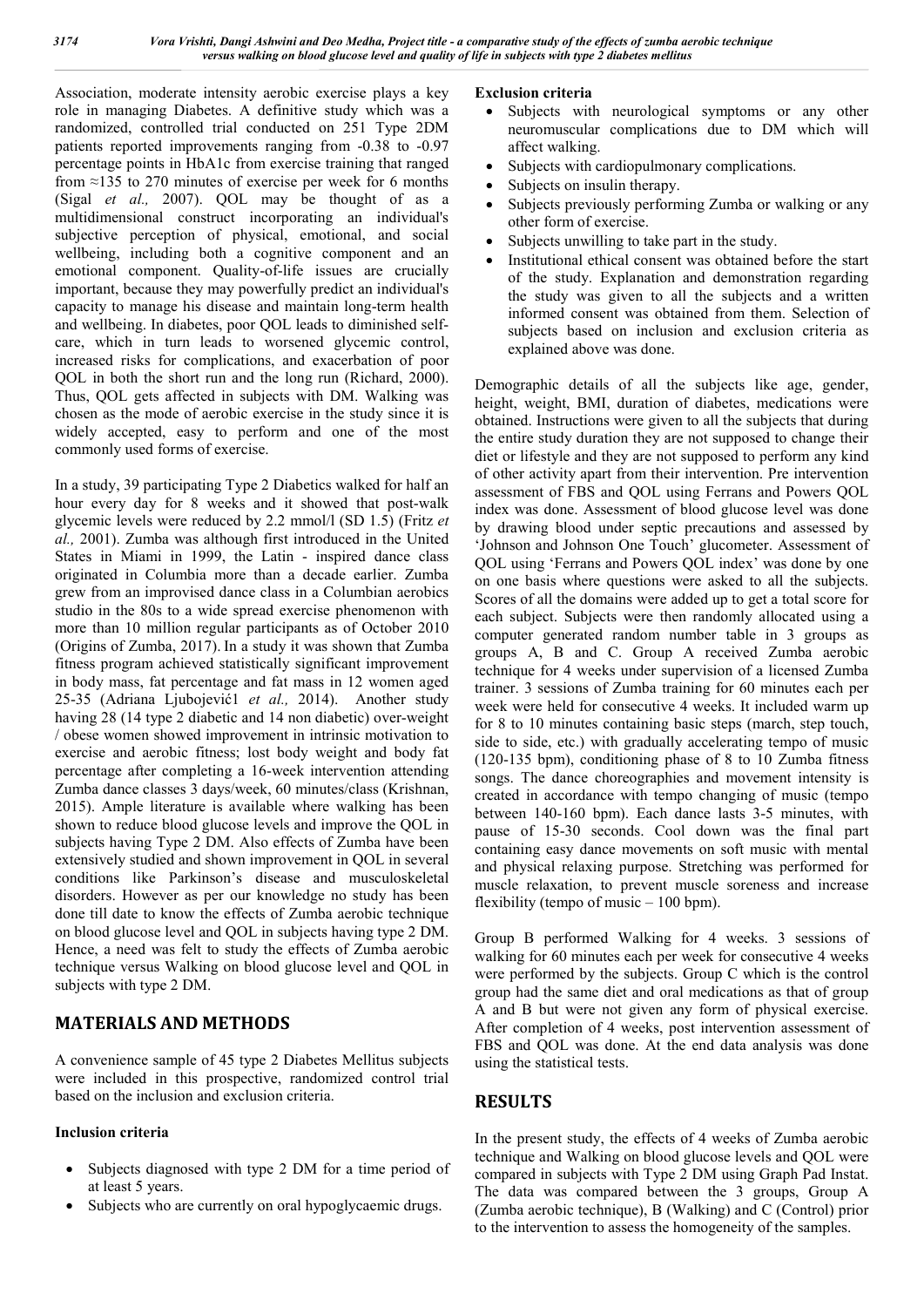Association, moderate intensity aerobic exercise plays a key role in managing Diabetes. A definitive study which was a randomized, controlled trial conducted on 251 Type 2DM patients reported improvements ranging from -0.38 to -0.97 percentage points in HbA1c from exercise training that ranged from  $\approx$ 135 to 270 minutes of exercise per week for 6 months (Sigal *et al.,* 2007). QOL may be thought of as a multidimensional construct incorporating an individual's subjective perception of physical, emotional, and social wellbeing, including both a cognitive component and an emotional component. Quality-of-life issues are crucially important, because they may powerfully predict an individual's capacity to manage his disease and maintain long-term health and wellbeing. In diabetes, poor QOL leads to diminished selfcare, which in turn leads to worsened glycemic control, increased risks for complications, and exacerbation of poor QOL in both the short run and the long run (Richard, 2000). Thus, QOL gets affected in subjects with DM. Walking was chosen as the mode of aerobic exercise in the study since it is widely accepted, easy to perform and one of the most commonly used forms of exercise.

In a study, 39 participating Type 2 Diabetics walked for half an hour every day for 8 weeks and it showed that post-walk glycemic levels were reduced by 2.2 mmol/l (SD 1.5) (Fritz *et al.,* 2001). Zumba was although first introduced in the United States in Miami in 1999, the Latin - inspired dance class originated in Columbia more than a decade earlier. Zumba grew from an improvised dance class in a Columbian aerobics studio in the 80s to a wide spread exercise phenomenon with more than 10 million regular participants as of October 2010 (Origins of Zumba, 2017). In a study it was shown that Zumba fitness program achieved statistically significant improvement in body mass, fat percentage and fat mass in 12 women aged 25-35 (Adriana Ljubojević1 *et al.,* 2014). Another study having 28 (14 type 2 diabetic and 14 non diabetic) over-weight / obese women showed improvement in intrinsic motivation to exercise and aerobic fitness; lost body weight and body fat percentage after completing a 16-week intervention attending Zumba dance classes 3 days/week, 60 minutes/class (Krishnan, 2015). Ample literature is available where walking has been shown to reduce blood glucose levels and improve the QOL in subjects having Type 2 DM. Also effects of Zumba have been extensively studied and shown improvement in QOL in several conditions like Parkinson's disease and musculoskeletal disorders. However as per our knowledge no study has been done till date to know the effects of Zumba aerobic technique on blood glucose level and QOL in subjects having type 2 DM. Hence, a need was felt to study the effects of Zumba aerobic technique versus Walking on blood glucose level and QOL in subjects with type 2 DM.

# **MATERIALS AND METHODS**

A convenience sample of 45 type 2 Diabetes Mellitus subjects were included in this prospective, randomized control trial based on the inclusion and exclusion criteria.

## **Inclusion criteria**

- Subjects diagnosed with type 2 DM for a time period of at least 5 years.
- Subjects who are currently on oral hypoglycaemic drugs.

# **Exclusion criteria**

- Subjects with neurological symptoms or any other neuromuscular complications due to DM which will affect walking.
- Subjects with cardiopulmonary complications.
- Subjects on insulin therapy.
- Subjects previously performing Zumba or walking or any other form of exercise.
- Subjects unwilling to take part in the study.
- Institutional ethical consent was obtained before the start of the study. Explanation and demonstration regarding the study was given to all the subjects and a written informed consent was obtained from them. Selection of subjects based on inclusion and exclusion criteria as explained above was done.

Demographic details of all the subjects like age, gender, height, weight, BMI, duration of diabetes, medications were obtained. Instructions were given to all the subjects that during the entire study duration they are not supposed to change their diet or lifestyle and they are not supposed to perform any kind of other activity apart from their intervention. Pre intervention assessment of FBS and QOL using Ferrans and Powers QOL index was done. Assessment of blood glucose level was done by drawing blood under septic precautions and assessed by 'Johnson and Johnson One Touch' glucometer. Assessment of QOL using 'Ferrans and Powers QOL index' was done by one on one basis where questions were asked to all the subjects. Scores of all the domains were added up to get a total score for each subject. Subjects were then randomly allocated using a computer generated random number table in 3 groups as groups A, B and C. Group A received Zumba aerobic technique for 4 weeks under supervision of a licensed Zumba trainer. 3 sessions of Zumba training for 60 minutes each per week were held for consecutive 4 weeks. It included warm up for 8 to 10 minutes containing basic steps (march, step touch, side to side, etc.) with gradually accelerating tempo of music (120-135 bpm), conditioning phase of 8 to 10 Zumba fitness songs. The dance choreographies and movement intensity is created in accordance with tempo changing of music (tempo between 140-160 bpm). Each dance lasts 3-5 minutes, with pause of 15-30 seconds. Cool down was the final part containing easy dance movements on soft music with mental and physical relaxing purpose. Stretching was performed for muscle relaxation, to prevent muscle soreness and increase flexibility (tempo of music – 100 bpm).

Group B performed Walking for 4 weeks. 3 sessions of walking for 60 minutes each per week for consecutive 4 weeks were performed by the subjects. Group C which is the control group had the same diet and oral medications as that of group A and B but were not given any form of physical exercise. After completion of 4 weeks, post intervention assessment of FBS and QOL was done. At the end data analysis was done using the statistical tests.

# **RESULTS**

In the present study, the effects of 4 weeks of Zumba aerobic technique and Walking on blood glucose levels and QOL were compared in subjects with Type 2 DM using Graph Pad Instat. The data was compared between the 3 groups, Group A (Zumba aerobic technique), B (Walking) and C (Control) prior to the intervention to assess the homogeneity of the samples.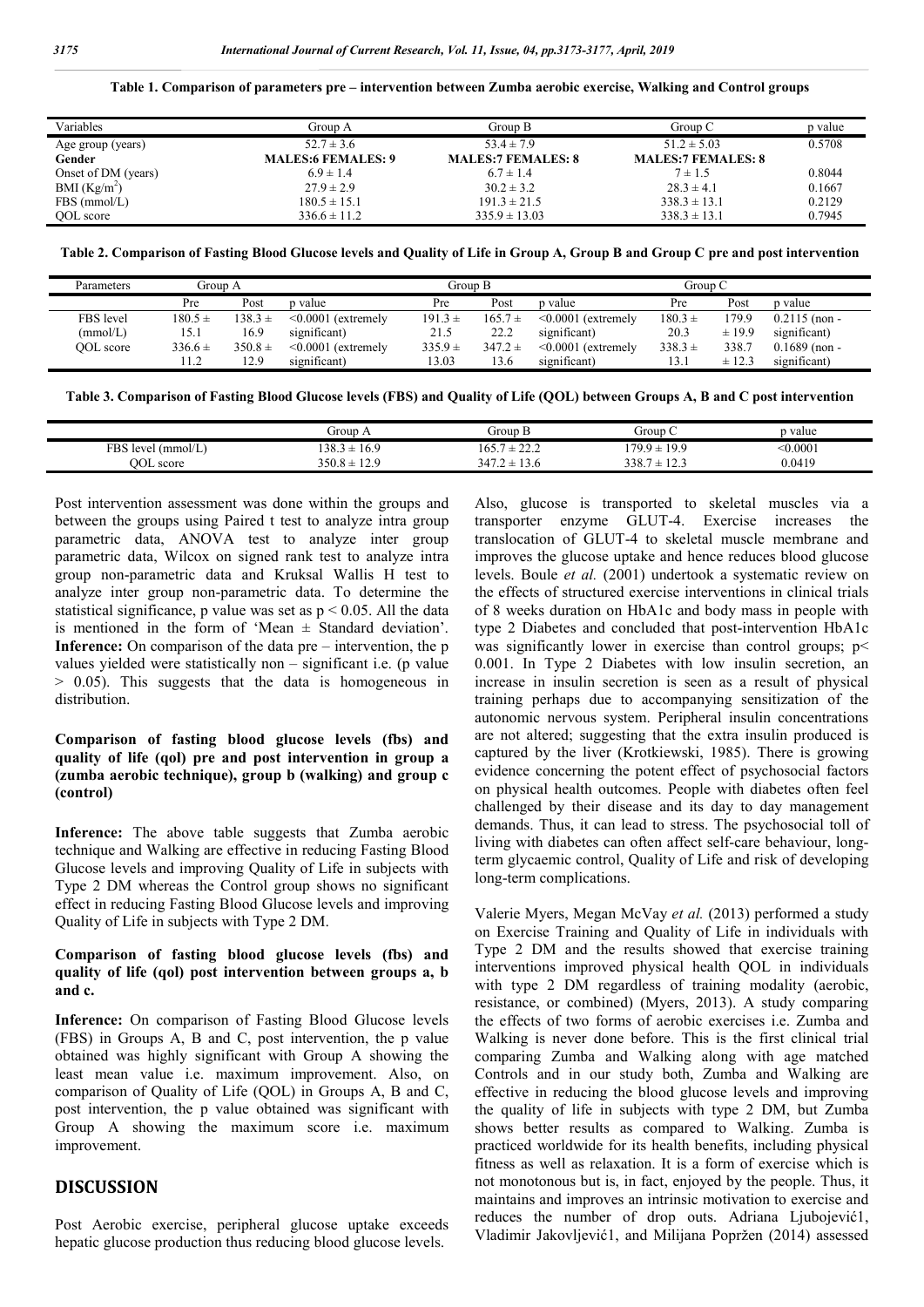**Table 1. Comparison of parameters pre – intervention between Zumba aerobic exercise, Walking and Control groups**

| Variables                | Group A                   | Group B                   | Group C                   | p value |
|--------------------------|---------------------------|---------------------------|---------------------------|---------|
| Age group (years)        | $52.7 \pm 3.6$            | $53.4 \pm 7.9$            | $51.2 \pm 5.03$           | 0.5708  |
| Gender                   | <b>MALES:6 FEMALES: 9</b> | <b>MALES:7 FEMALES: 8</b> | <b>MALES:7 FEMALES: 8</b> |         |
| Onset of DM (years)      | $6.9 \pm 1.4$             | $6.7 \pm 1.4$             | $7 \pm 1.5$               | 0.8044  |
| BMI (Kg/m <sup>2</sup> ) | $27.9 \pm 2.9$            | $30.2 \pm 3.2$            | $28.3 \pm 4.1$            | 0.1667  |
| FBS (mmol/L)             | $180.5 \pm 15.1$          | $191.3 \pm 21.5$          | $338.3 \pm 13.1$          | 0.2129  |
| OOL score                | $336.6 \pm 11.2$          | $335.9 \pm 13.03$         | $338.3 \pm 13.1$          | 0.7945  |

**Table 2. Comparison of Fasting Blood Glucose levels and Quality of Life in Group A, Group B and Group C pre and post intervention**

| Parameters | Group A     |             | Group B                  |             | Group C     |                          |             |        |                 |
|------------|-------------|-------------|--------------------------|-------------|-------------|--------------------------|-------------|--------|-----------------|
|            | Pre         | Post        | p value                  | Pre         | Post        | p value                  | Pre         | Post   | p value         |
| FBS level  | $180.5 \pm$ | $38.3 \pm$  | $\leq 0.0001$ (extremely | $191.3 \pm$ | $165.7 \pm$ | $\leq 0.0001$ (extremely | $180.3 \pm$ | 179.9  | $0.2115$ (non - |
| (mmol/L)   | 15.1        | 16.9        | significant)             | 21.5        | 22.2        | significant)             | 20.3        | ±19.9  | significant)    |
| OOL score  | $336.6 \pm$ | $350.8 \pm$ | $\leq 0.0001$ (extremely | $335.9 \pm$ | $347.2 \pm$ | $\leq 0.0001$ (extremely | $338.3 +$   | 338.7  | $0.1689$ (non - |
|            | 11.2        | 12.9        | significant)             | 13.03       | 13.6        | significant)             | 13.1        | ± 12.3 | significant)    |

**Table 3. Comparison of Fasting Blood Glucose levels (FBS) and Quality of Life (QOL) between Groups A, B and C post intervention**

|                                                          | uroup .                              | Group .                                | Jroup '                              | p value  |  |
|----------------------------------------------------------|--------------------------------------|----------------------------------------|--------------------------------------|----------|--|
| $\mathbf{r}$<br>FBS<br>mmol/L<br>ATP<br>$\sim$<br>$\sim$ | 20<br>16.9<br>-<br>د.ەد<br><b>__</b> | $\sim$ $\sim$<br>$\sim$ $\sim$<br>LO 3 | 100<br>700<br>-<br>1, 1, 1           | < 0.0001 |  |
| <b>OOL</b> score                                         | 120<br>$350.8 \pm$<br>$\pm$ 4.       | 12.0<br>—<br>$-$                       | $\sim$<br>338.<br><b>+</b><br>—<br>ر | 0.0419   |  |

Post intervention assessment was done within the groups and between the groups using Paired t test to analyze intra group parametric data, ANOVA test to analyze inter group parametric data, Wilcox on signed rank test to analyze intra group non-parametric data and Kruksal Wallis H test to analyze inter group non-parametric data. To determine the statistical significance, p value was set as  $p < 0.05$ . All the data is mentioned in the form of 'Mean ± Standard deviation'. **Inference:** On comparison of the data pre – intervention, the p values yielded were statistically non – significant i.e. (p value > 0.05). This suggests that the data is homogeneous in distribution.

## **Comparison of fasting blood glucose levels (fbs) and quality of life (qol) pre and post intervention in group a (zumba aerobic technique), group b (walking) and group c (control)**

**Inference:** The above table suggests that Zumba aerobic technique and Walking are effective in reducing Fasting Blood Glucose levels and improving Quality of Life in subjects with Type 2 DM whereas the Control group shows no significant effect in reducing Fasting Blood Glucose levels and improving Quality of Life in subjects with Type 2 DM.

#### **Comparison of fasting blood glucose levels (fbs) and quality of life (qol) post intervention between groups a, b and c.**

**Inference:** On comparison of Fasting Blood Glucose levels (FBS) in Groups A, B and C, post intervention, the p value obtained was highly significant with Group A showing the least mean value i.e. maximum improvement. Also, on comparison of Quality of Life (QOL) in Groups A, B and C, post intervention, the p value obtained was significant with Group A showing the maximum score i.e. maximum improvement.

## **DISCUSSION**

Post Aerobic exercise, peripheral glucose uptake exceeds hepatic glucose production thus reducing blood glucose levels.

Also, glucose is transported to skeletal muscles via a transporter enzyme GLUT-4. Exercise increases the translocation of GLUT-4 to skeletal muscle membrane and improves the glucose uptake and hence reduces blood glucose levels. Boule *et al.* (2001) undertook a systematic review on the effects of structured exercise interventions in clinical trials of 8 weeks duration on HbA1c and body mass in people with type 2 Diabetes and concluded that post-intervention HbA1c was significantly lower in exercise than control groups;  $p$  < 0.001. In Type 2 Diabetes with low insulin secretion, an increase in insulin secretion is seen as a result of physical training perhaps due to accompanying sensitization of the autonomic nervous system. Peripheral insulin concentrations are not altered; suggesting that the extra insulin produced is captured by the liver (Krotkiewski, 1985). There is growing evidence concerning the potent effect of psychosocial factors on physical health outcomes. People with diabetes often feel challenged by their disease and its day to day management demands. Thus, it can lead to stress. The psychosocial toll of living with diabetes can often affect self-care behaviour, longterm glycaemic control, Quality of Life and risk of developing long-term complications.

Valerie Myers, Megan McVay *et al.* (2013) performed a study on Exercise Training and Quality of Life in individuals with Type 2 DM and the results showed that exercise training interventions improved physical health QOL in individuals with type 2 DM regardless of training modality (aerobic, resistance, or combined) (Myers, 2013). A study comparing the effects of two forms of aerobic exercises i.e. Zumba and Walking is never done before. This is the first clinical trial comparing Zumba and Walking along with age matched Controls and in our study both, Zumba and Walking are effective in reducing the blood glucose levels and improving the quality of life in subjects with type 2 DM, but Zumba shows better results as compared to Walking. Zumba is practiced worldwide for its health benefits, including physical fitness as well as relaxation. It is a form of exercise which is not monotonous but is, in fact, enjoyed by the people. Thus, it maintains and improves an intrinsic motivation to exercise and reduces the number of drop outs. Adriana Ljubojević1, Vladimir Jakovljević1, and Milijana Popržen (2014) assessed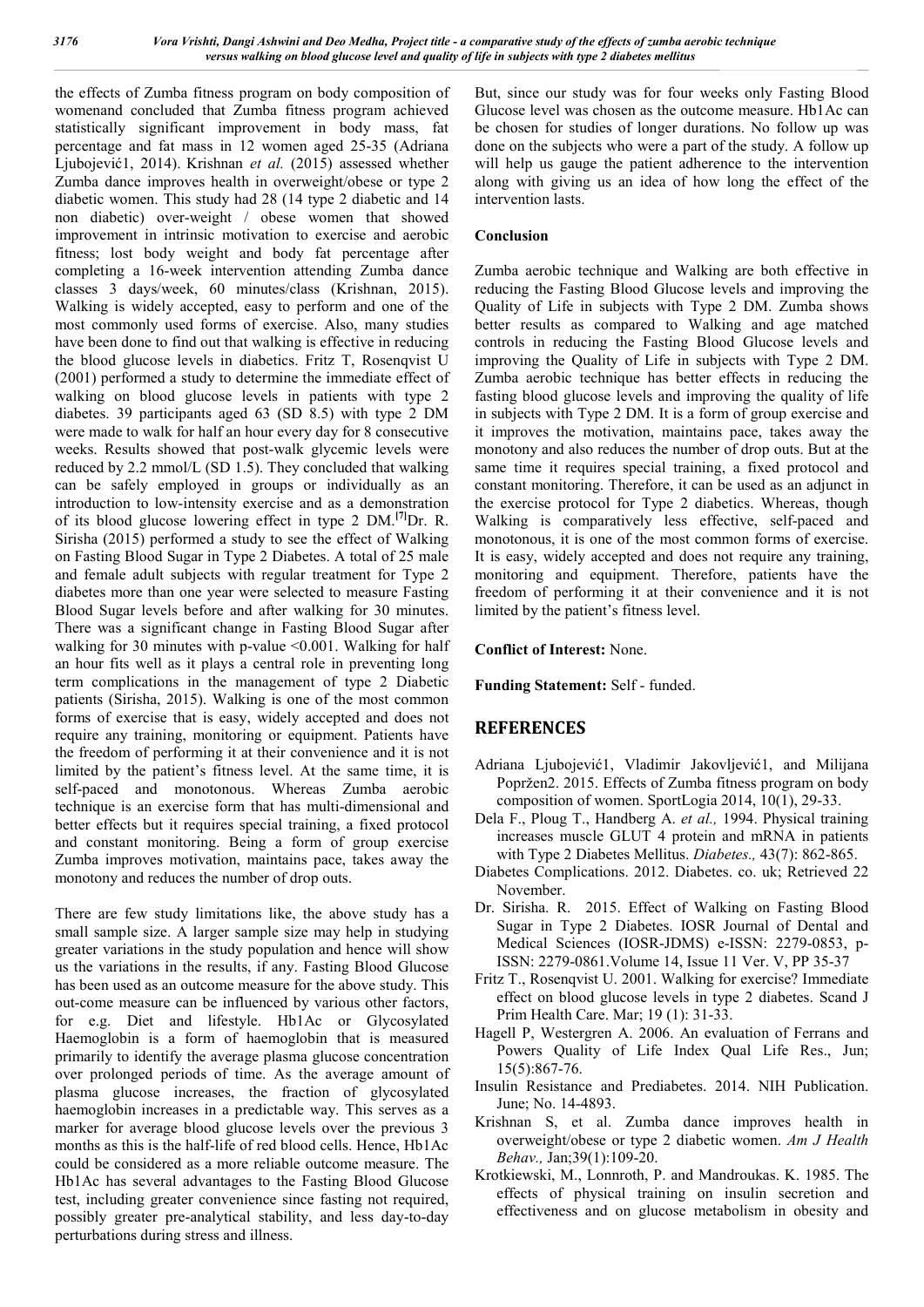the effects of Zumba fitness program on body composition of womenand concluded that Zumba fitness program achieved statistically significant improvement in body mass, fat percentage and fat mass in 12 women aged 25-35 (Adriana Ljubojević1, 2014). Krishnan *et al.* (2015) assessed whether Zumba dance improves health in overweight/obese or type 2 diabetic women. This study had 28 (14 type 2 diabetic and 14 non diabetic) over-weight / obese women that showed improvement in intrinsic motivation to exercise and aerobic fitness; lost body weight and body fat percentage after completing a 16-week intervention attending Zumba dance classes 3 days/week, 60 minutes/class (Krishnan, 2015). Walking is widely accepted, easy to perform and one of the most commonly used forms of exercise. Also, many studies have been done to find out that walking is effective in reducing the blood glucose levels in diabetics. Fritz T, Rosenqvist U (2001) performed a study to determine the immediate effect of walking on blood glucose levels in patients with type 2 diabetes. 39 participants aged 63 (SD 8.5) with type 2 DM were made to walk for half an hour every day for 8 consecutive weeks. Results showed that post-walk glycemic levels were reduced by 2.2 mmol/L (SD 1.5). They concluded that walking can be safely employed in groups or individually as an introduction to low-intensity exercise and as a demonstration of its blood glucose lowering effect in type 2 DM.**[7]**Dr. R. Sirisha (2015) performed a study to see the effect of Walking on Fasting Blood Sugar in Type 2 Diabetes. A total of 25 male and female adult subjects with regular treatment for Type 2 diabetes more than one year were selected to measure Fasting Blood Sugar levels before and after walking for 30 minutes. There was a significant change in Fasting Blood Sugar after walking for 30 minutes with p-value <0.001. Walking for half an hour fits well as it plays a central role in preventing long term complications in the management of type 2 Diabetic patients (Sirisha, 2015). Walking is one of the most common forms of exercise that is easy, widely accepted and does not require any training, monitoring or equipment. Patients have the freedom of performing it at their convenience and it is not limited by the patient's fitness level. At the same time, it is self-paced and monotonous. Whereas Zumba aerobic technique is an exercise form that has multi-dimensional and better effects but it requires special training, a fixed protocol and constant monitoring. Being a form of group exercise Zumba improves motivation, maintains pace, takes away the monotony and reduces the number of drop outs.

There are few study limitations like, the above study has a small sample size. A larger sample size may help in studying greater variations in the study population and hence will show us the variations in the results, if any. Fasting Blood Glucose has been used as an outcome measure for the above study. This out-come measure can be influenced by various other factors, for e.g. Diet and lifestyle. Hb1Ac or Glycosylated Haemoglobin is a form of haemoglobin that is measured primarily to identify the average plasma glucose concentration over prolonged periods of time. As the average amount of plasma glucose increases, the fraction of glycosylated haemoglobin increases in a predictable way. This serves as a marker for average blood glucose levels over the previous 3 months as this is the half-life of red blood cells. Hence, Hb1Ac could be considered as a more reliable outcome measure. The Hb1Ac has several advantages to the Fasting Blood Glucose test, including greater convenience since fasting not required, possibly greater pre-analytical stability, and less day-to-day perturbations during stress and illness.

But, since our study was for four weeks only Fasting Blood Glucose level was chosen as the outcome measure. Hb1Ac can be chosen for studies of longer durations. No follow up was done on the subjects who were a part of the study. A follow up will help us gauge the patient adherence to the intervention along with giving us an idea of how long the effect of the intervention lasts.

## **Conclusion**

Zumba aerobic technique and Walking are both effective in reducing the Fasting Blood Glucose levels and improving the Quality of Life in subjects with Type 2 DM. Zumba shows better results as compared to Walking and age matched controls in reducing the Fasting Blood Glucose levels and improving the Quality of Life in subjects with Type 2 DM. Zumba aerobic technique has better effects in reducing the fasting blood glucose levels and improving the quality of life in subjects with Type 2 DM. It is a form of group exercise and it improves the motivation, maintains pace, takes away the monotony and also reduces the number of drop outs. But at the same time it requires special training, a fixed protocol and constant monitoring. Therefore, it can be used as an adjunct in the exercise protocol for Type 2 diabetics. Whereas, though Walking is comparatively less effective, self-paced and monotonous, it is one of the most common forms of exercise. It is easy, widely accepted and does not require any training, monitoring and equipment. Therefore, patients have the freedom of performing it at their convenience and it is not limited by the patient's fitness level.

#### **Conflict of Interest:** None.

**Funding Statement:** Self - funded.

## **REFERENCES**

- Adriana Ljubojević1, Vladimir Jakovljević1, and Milijana Popržen2. 2015. Effects of Zumba fitness program on body composition of women. SportLogia 2014, 10(1), 29-33.
- Dela F., Ploug T., Handberg A. *et al.,* 1994. Physical training increases muscle GLUT 4 protein and mRNA in patients with Type 2 Diabetes Mellitus. *Diabetes.,* 43(7): 862-865.
- Diabetes Complications. 2012. Diabetes. co. uk; Retrieved 22 November.
- Dr. Sirisha. R. 2015. Effect of Walking on Fasting Blood Sugar in Type 2 Diabetes. IOSR Journal of Dental and Medical Sciences (IOSR-JDMS) e-ISSN: 2279-0853, p-ISSN: 2279-0861.Volume 14, Issue 11 Ver. V, PP 35-37
- Fritz T., Rosenqvist U. 2001. Walking for exercise? Immediate effect on blood glucose levels in type 2 diabetes. Scand J Prim Health Care. Mar; 19 (1): 31-33.
- Hagell P, Westergren A. 2006. An evaluation of Ferrans and Powers Quality of Life Index Qual Life Res., Jun; 15(5):867-76.
- Insulin Resistance and Prediabetes. 2014. NIH Publication. June; No. 14-4893.
- Krishnan S, et al. Zumba dance improves health in overweight/obese or type 2 diabetic women. *Am J Health Behav.,* Jan;39(1):109-20.
- Krotkiewski, M., Lonnroth, P. and Mandroukas. K. 1985. The effects of physical training on insulin secretion and effectiveness and on glucose metabolism in obesity and